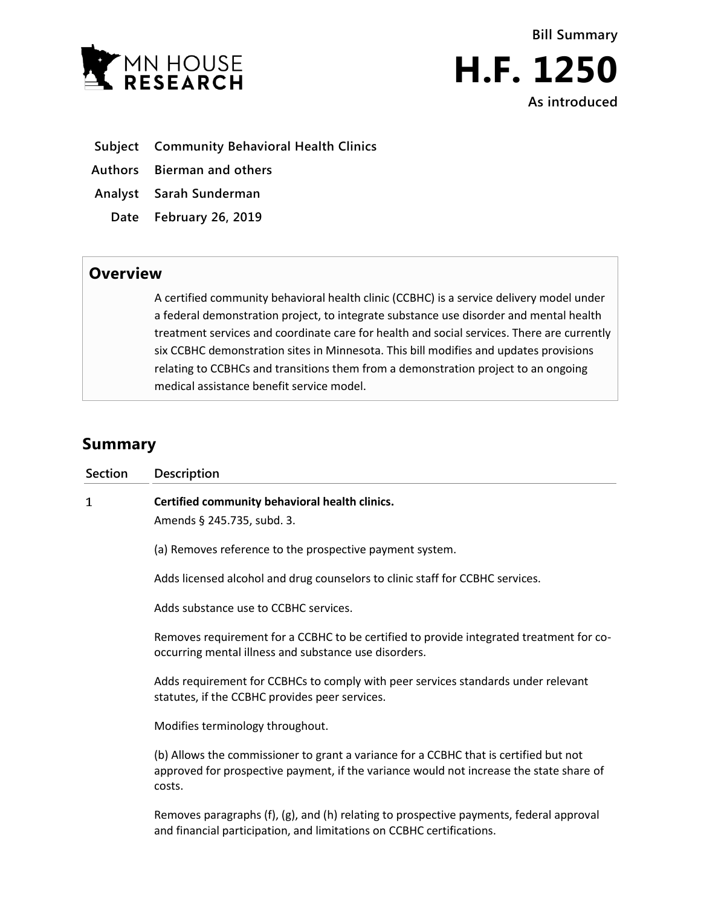



- **Subject Community Behavioral Health Clinics**
- **Authors Bierman and others**
- **Analyst Sarah Sunderman**
	- **Date February 26, 2019**

## **Overview**

A certified community behavioral health clinic (CCBHC) is a service delivery model under a federal demonstration project, to integrate substance use disorder and mental health treatment services and coordinate care for health and social services. There are currently six CCBHC demonstration sites in Minnesota. This bill modifies and updates provisions relating to CCBHCs and transitions them from a demonstration project to an ongoing medical assistance benefit service model.

# **Summary**

| <b>Section</b> | <b>Description</b>                                                                                                                                                                         |
|----------------|--------------------------------------------------------------------------------------------------------------------------------------------------------------------------------------------|
| 1              | Certified community behavioral health clinics.<br>Amends § 245.735, subd. 3.                                                                                                               |
|                | (a) Removes reference to the prospective payment system.                                                                                                                                   |
|                | Adds licensed alcohol and drug counselors to clinic staff for CCBHC services.                                                                                                              |
|                | Adds substance use to CCBHC services.                                                                                                                                                      |
|                | Removes requirement for a CCBHC to be certified to provide integrated treatment for co-<br>occurring mental illness and substance use disorders.                                           |
|                | Adds requirement for CCBHCs to comply with peer services standards under relevant<br>statutes, if the CCBHC provides peer services.                                                        |
|                | Modifies terminology throughout.                                                                                                                                                           |
|                | (b) Allows the commissioner to grant a variance for a CCBHC that is certified but not<br>approved for prospective payment, if the variance would not increase the state share of<br>costs. |
|                | Removes paragraphs (f), (g), and (h) relating to prospective payments, federal approval<br>and financial participation, and limitations on CCBHC certifications.                           |